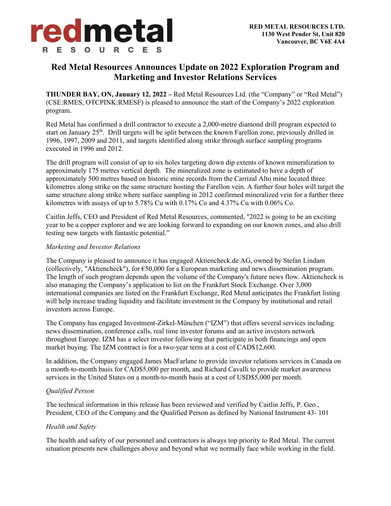

# **Red Metal Resources Announces Update on 2022 Exploration Program and Marketing and Investor Relations Services**

**THUNDER BAY, ON, January 12, 2022 –** Red Metal Resources Ltd. (the "Company" or "Red Metal") (CSE:RMES, OTCPINK:RMESF) is pleased to announce the start of the Company's 2022 exploration program.

Red Metal has confirmed a drill contractor to execute a 2,000-metre diamond drill program expected to start on January  $25<sup>th</sup>$ . Drill targets will be split between the known Farellon zone, previously drilled in 1996, 1997, 2009 and 2011, and targets identified along strike through surface sampling programs executed in 1996 and 2012.

The drill program will consist of up to six holes targeting down dip extents of known mineralization to approximately 175 metres vertical depth. The mineralized zone is estimated to have a depth of approximately 500 metres based on historic mine records from the Carrizal Alto mine located three kilometres along strike on the same structure hosting the Farellon vein. A further four holes will target the same structure along strike where surface sampling in 2012 confirmed mineralized vein for a further three kilometres with assays of up to 5.78% Cu with 0.17% Co and 4.37% Cu with 0.06% Co.

Caitlin Jeffs, CEO and President of Red Metal Resources, commented, "2022 is going to be an exciting year to be a copper explorer and we are looking forward to expanding on our known zones, and also drill testing new targets with fantastic potential."

## *Marketing and Investor Relations*

The Company is pleased to announce it has engaged Aktiencheck.de AG, owned by Stefan Lindam (collectively, "Aktiencheck"), for  $\epsilon$ 50,000 for a European marketing and news dissemination program. The length of such program depends upon the volume of the Company's future news flow. Aktiencheck is also managing the Company's application to list on the Frankfurt Stock Exchange. Over 3,000 international companies are listed on the Frankfurt Exchange, Red Metal anticipates the Frankfurt listing will help increase trading liquidity and facilitate investment in the Company by institutional and retail investors across Europe.

The Company has engaged Investment-Zirkel-München ("IZM") that offers several services including news dissemination, conference calls, real time investor forums and an active investors network throughout Europe. IZM has a select investor following that participate in both financings and open market buying. The IZM contract is for a two-year term at a cost of CAD\$12,600.

In addition, the Company engaged James MacFarlane to provide investor relations services in Canada on a month-to-month basis for CAD\$5,000 per month, and Richard Cavalli to provide market awareness services in the United States on a month-to-month basis at a cost of USD\$5,000 per month.

## *Qualified Person*

The technical information in this release has been reviewed and verified by Caitlin Jeffs, P. Geo., President, CEO of the Company and the Qualified Person as defined by National Instrument 43- 101

## *Health and Safety*

The health and safety of our personnel and contractors is always top priority to Red Metal. The current situation presents new challenges above and beyond what we normally face while working in the field.